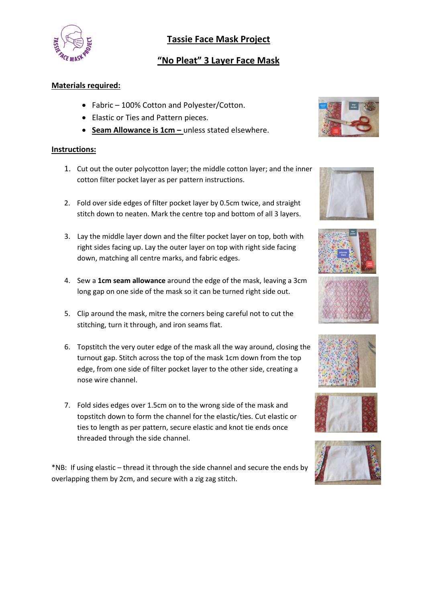

## **Tassie Face Mask Project**

# **"No Pleat" 3 Layer Face Mask**

### **Materials required:**

- Fabric 100% Cotton and Polyester/Cotton.
- Elastic or Ties and Pattern pieces.
- **Seam Allowance is 1cm -** unless stated elsewhere.

#### **Instructions:**

- 1. Cut out the outer polycotton layer; the middle cotton layer; and the inner cotton filter pocket layer as per pattern instructions.
- 2. Fold over side edges of filter pocket layer by 0.5cm twice, and straight stitch down to neaten. Mark the centre top and bottom of all 3 layers.
- 3. Lay the middle layer down and the filter pocket layer on top, both with right sides facing up. Lay the outer layer on top with right side facing down, matching all centre marks, and fabric edges.
- 4. Sew a **1cm seam allowance** around the edge of the mask, leaving a 3cm long gap on one side of the mask so it can be turned right side out.
- 5. Clip around the mask, mitre the corners being careful not to cut the stitching, turn it through, and iron seams flat.
- 6. Topstitch the very outer edge of the mask all the way around, closing the turnout gap. Stitch across the top of the mask 1cm down from the top edge, from one side of filter pocket layer to the other side, creating a nose wire channel.
- 7. Fold sides edges over 1.5cm on to the wrong side of the mask and topstitch down to form the channel for the elastic/ties. Cut elastic or ties to length as per pattern, secure elastic and knot tie ends once threaded through the side channel.

\*NB: If using elastic – thread it through the side channel and secure the ends by overlapping them by 2cm, and secure with a zig zag stitch.